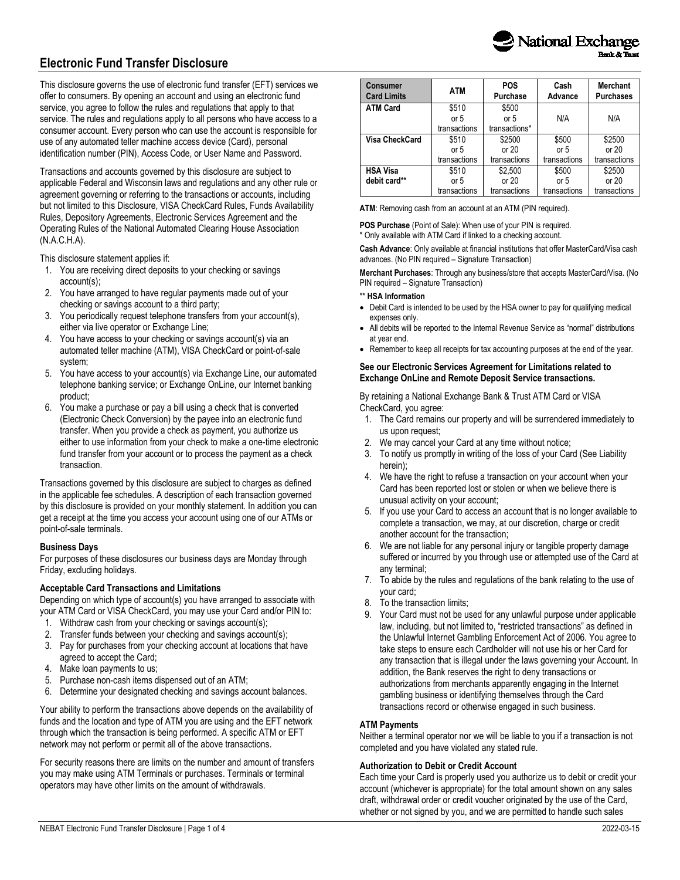

# **Electronic Fund Transfer Disclosure**

This disclosure governs the use of electronic fund transfer (EFT) services we offer to consumers. By opening an account and using an electronic fund service, you agree to follow the rules and regulations that apply to that service. The rules and regulations apply to all persons who have access to a consumer account. Every person who can use the account is responsible for use of any automated teller machine access device (Card), personal identification number (PIN), Access Code, or User Name and Password.

Transactions and accounts governed by this disclosure are subject to applicable Federal and Wisconsin laws and regulations and any other rule or agreement governing or referring to the transactions or accounts, including but not limited to this Disclosure, VISA CheckCard Rules, Funds Availability Rules, Depository Agreements, Electronic Services Agreement and the Operating Rules of the National Automated Clearing House Association (N.A.C.H.A).

This disclosure statement applies if:

- 1. You are receiving direct deposits to your checking or savings account(s);
- 2. You have arranged to have regular payments made out of your checking or savings account to a third party;
- 3. You periodically request telephone transfers from your account(s), either via live operator or Exchange Line;
- 4. You have access to your checking or savings account(s) via an automated teller machine (ATM), VISA CheckCard or point-of-sale system;
- 5. You have access to your account(s) via Exchange Line, our automated telephone banking service; or Exchange OnLine, our Internet banking product;
- You make a purchase or pay a bill using a check that is converted (Electronic Check Conversion) by the payee into an electronic fund transfer. When you provide a check as payment, you authorize us either to use information from your check to make a one-time electronic fund transfer from your account or to process the payment as a check transaction.

Transactions governed by this disclosure are subject to charges as defined in the applicable fee schedules. A description of each transaction governed by this disclosure is provided on your monthly statement. In addition you can get a receipt at the time you access your account using one of our ATMs or point-of-sale terminals.

#### **Business Days**

For purposes of these disclosures our business days are Monday through Friday, excluding holidays.

#### **Acceptable Card Transactions and Limitations**

Depending on which type of account(s) you have arranged to associate with your ATM Card or VISA CheckCard, you may use your Card and/or PIN to:

- 1. Withdraw cash from your checking or savings account(s);
- 2. Transfer funds between your checking and savings account(s);
- 3. Pay for purchases from your checking account at locations that have agreed to accept the Card;
- 4. Make loan payments to us;
- 5. Purchase non-cash items dispensed out of an ATM;
- 6. Determine your designated checking and savings account balances.

Your ability to perform the transactions above depends on the availability of funds and the location and type of ATM you are using and the EFT network through which the transaction is being performed. A specific ATM or EFT network may not perform or permit all of the above transactions.

For security reasons there are limits on the number and amount of transfers you may make using ATM Terminals or purchases. Terminals or terminal operators may have other limits on the amount of withdrawals.

| <b>Consumer</b><br><b>Card Limits</b> | <b>ATM</b>   | <b>POS</b><br>Purchase | Cash<br>Advance | <b>Merchant</b><br><b>Purchases</b> |
|---------------------------------------|--------------|------------------------|-----------------|-------------------------------------|
| <b>ATM Card</b>                       | \$510        | \$500                  |                 |                                     |
|                                       | or $5$       | or $5$                 | N/A             | N/A                                 |
|                                       | transactions | transactions*          |                 |                                     |
| Visa CheckCard                        | \$510        | \$2500                 | \$500           | \$2500                              |
|                                       | or $5$       | or $20$                | or $5$          | or $20$                             |
|                                       | transactions | transactions           | transactions    | transactions                        |
| <b>HSA Visa</b>                       | \$510        | \$2,500                | \$500           | \$2500                              |
| debit card**                          | or $5$       | or $20$                | or $5$          | or $20$                             |
|                                       | transactions | transactions           | transactions    | transactions                        |

**ATM**: Removing cash from an account at an ATM (PIN required).

**POS Purchase** (Point of Sale): When use of your PIN is required. \* Only available with ATM Card if linked to a checking account.

**Cash Advance**: Only available at financial institutions that offer MasterCard/Visa cash advances. (No PIN required – Signature Transaction)

**Merchant Purchases**: Through any business/store that accepts MasterCard/Visa. (No PIN required – Signature Transaction)

#### \*\* **HSA Information**

- Debit Card is intended to be used by the HSA owner to pay for qualifying medical expenses only.
- All debits will be reported to the Internal Revenue Service as "normal" distributions at year end.
- Remember to keep all receipts for tax accounting purposes at the end of the year.

# **See our Electronic Services Agreement for Limitations related to Exchange OnLine and Remote Deposit Service transactions.**

By retaining a National Exchange Bank & Trust ATM Card or VISA CheckCard, you agree:

- 1. The Card remains our property and will be surrendered immediately to us upon request;
- 2. We may cancel your Card at any time without notice;
- 3. To notify us promptly in writing of the loss of your Card (See Liability herein);
- 4. We have the right to refuse a transaction on your account when your Card has been reported lost or stolen or when we believe there is unusual activity on your account;
- 5. If you use your Card to access an account that is no longer available to complete a transaction, we may, at our discretion, charge or credit another account for the transaction;
- 6. We are not liable for any personal injury or tangible property damage suffered or incurred by you through use or attempted use of the Card at any terminal;
- 7. To abide by the rules and regulations of the bank relating to the use of your card;
- 8. To the transaction limits;
- 9. Your Card must not be used for any unlawful purpose under applicable law, including, but not limited to, "restricted transactions" as defined in the Unlawful Internet Gambling Enforcement Act of 2006. You agree to take steps to ensure each Cardholder will not use his or her Card for any transaction that is illegal under the laws governing your Account. In addition, the Bank reserves the right to deny transactions or authorizations from merchants apparently engaging in the Internet gambling business or identifying themselves through the Card transactions record or otherwise engaged in such business.

#### **ATM Payments**

Neither a terminal operator nor we will be liable to you if a transaction is not completed and you have violated any stated rule.

#### **Authorization to Debit or Credit Account**

Each time your Card is properly used you authorize us to debit or credit your account (whichever is appropriate) for the total amount shown on any sales draft, withdrawal order or credit voucher originated by the use of the Card, whether or not signed by you, and we are permitted to handle such sales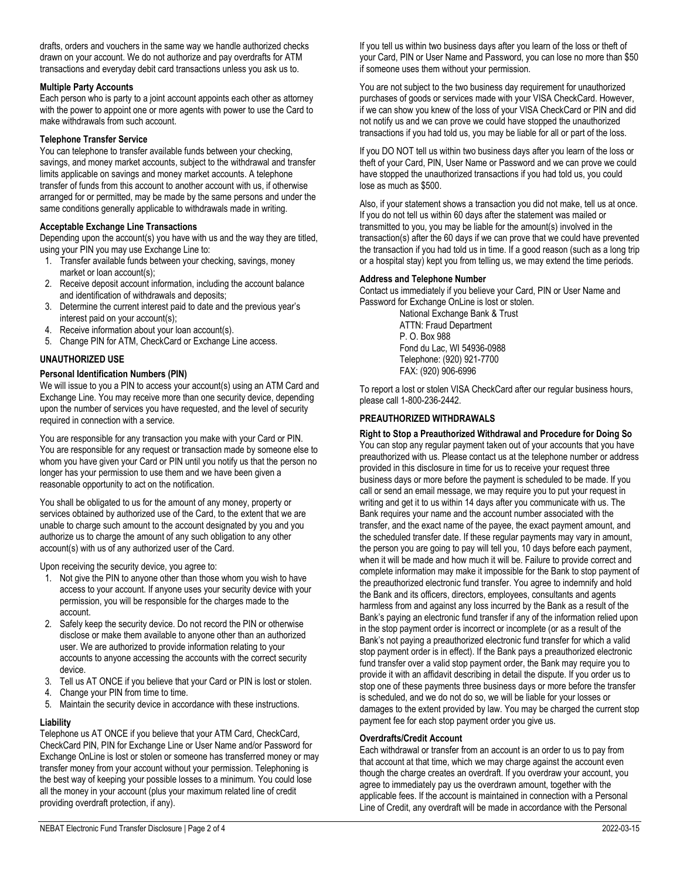drafts, orders and vouchers in the same way we handle authorized checks drawn on your account. We do not authorize and pay overdrafts for ATM transactions and everyday debit card transactions unless you ask us to.

#### **Multiple Party Accounts**

Each person who is party to a joint account appoints each other as attorney with the power to appoint one or more agents with power to use the Card to make withdrawals from such account.

### **Telephone Transfer Service**

You can telephone to transfer available funds between your checking, savings, and money market accounts, subject to the withdrawal and transfer limits applicable on savings and money market accounts. A telephone transfer of funds from this account to another account with us, if otherwise arranged for or permitted, may be made by the same persons and under the same conditions generally applicable to withdrawals made in writing.

# **Acceptable Exchange Line Transactions**

Depending upon the account(s) you have with us and the way they are titled, using your PIN you may use Exchange Line to:

- 1. Transfer available funds between your checking, savings, money market or loan account(s);
- 2. Receive deposit account information, including the account balance and identification of withdrawals and deposits;
- 3. Determine the current interest paid to date and the previous year's interest paid on your account(s);
- 4. Receive information about your loan account(s).
- 5. Change PIN for ATM, CheckCard or Exchange Line access.

# **UNAUTHORIZED USE**

# **Personal Identification Numbers (PIN)**

We will issue to you a PIN to access your account(s) using an ATM Card and Exchange Line. You may receive more than one security device, depending upon the number of services you have requested, and the level of security required in connection with a service.

You are responsible for any transaction you make with your Card or PIN. You are responsible for any request or transaction made by someone else to whom you have given your Card or PIN until you notify us that the person no longer has your permission to use them and we have been given a reasonable opportunity to act on the notification.

You shall be obligated to us for the amount of any money, property or services obtained by authorized use of the Card, to the extent that we are unable to charge such amount to the account designated by you and you authorize us to charge the amount of any such obligation to any other account(s) with us of any authorized user of the Card.

Upon receiving the security device, you agree to:

- 1. Not give the PIN to anyone other than those whom you wish to have access to your account. If anyone uses your security device with your permission, you will be responsible for the charges made to the account.
- 2. Safely keep the security device. Do not record the PIN or otherwise disclose or make them available to anyone other than an authorized user. We are authorized to provide information relating to your accounts to anyone accessing the accounts with the correct security device.
- 3. Tell us AT ONCE if you believe that your Card or PIN is lost or stolen.
- 4. Change your PIN from time to time.
- 5. Maintain the security device in accordance with these instructions.

# **Liability**

Telephone us AT ONCE if you believe that your ATM Card, CheckCard, CheckCard PIN, PIN for Exchange Line or User Name and/or Password for Exchange OnLine is lost or stolen or someone has transferred money or may transfer money from your account without your permission. Telephoning is the best way of keeping your possible losses to a minimum. You could lose all the money in your account (plus your maximum related line of credit providing overdraft protection, if any).

If you tell us within two business days after you learn of the loss or theft of your Card, PIN or User Name and Password, you can lose no more than \$50 if someone uses them without your permission.

You are not subject to the two business day requirement for unauthorized purchases of goods or services made with your VISA CheckCard. However, if we can show you knew of the loss of your VISA CheckCard or PIN and did not notify us and we can prove we could have stopped the unauthorized transactions if you had told us, you may be liable for all or part of the loss.

If you DO NOT tell us within two business days after you learn of the loss or theft of your Card, PIN, User Name or Password and we can prove we could have stopped the unauthorized transactions if you had told us, you could lose as much as \$500.

Also, if your statement shows a transaction you did not make, tell us at once. If you do not tell us within 60 days after the statement was mailed or transmitted to you, you may be liable for the amount(s) involved in the transaction(s) after the 60 days if we can prove that we could have prevented the transaction if you had told us in time. If a good reason (such as a long trip or a hospital stay) kept you from telling us, we may extend the time periods.

# **Address and Telephone Number**

Contact us immediately if you believe your Card, PIN or User Name and Password for Exchange OnLine is lost or stolen.

National Exchange Bank & Trust ATTN: Fraud Department P. O. Box 988 Fond du Lac, WI 54936-0988 Telephone: (920) 921-7700 FAX: (920) 906-6996

To report a lost or stolen VISA CheckCard after our regular business hours, please call 1-800-236-2442.

# **PREAUTHORIZED WITHDRAWALS**

**Right to Stop a Preauthorized Withdrawal and Procedure for Doing So** You can stop any regular payment taken out of your accounts that you have preauthorized with us. Please contact us at the telephone number or address provided in this disclosure in time for us to receive your request three business days or more before the payment is scheduled to be made. If you call or send an email message, we may require you to put your request in writing and get it to us within 14 days after you communicate with us. The Bank requires your name and the account number associated with the transfer, and the exact name of the payee, the exact payment amount, and the scheduled transfer date. If these regular payments may vary in amount, the person you are going to pay will tell you, 10 days before each payment, when it will be made and how much it will be. Failure to provide correct and complete information may make it impossible for the Bank to stop payment of the preauthorized electronic fund transfer. You agree to indemnify and hold the Bank and its officers, directors, employees, consultants and agents harmless from and against any loss incurred by the Bank as a result of the Bank's paying an electronic fund transfer if any of the information relied upon in the stop payment order is incorrect or incomplete (or as a result of the Bank's not paying a preauthorized electronic fund transfer for which a valid stop payment order is in effect). If the Bank pays a preauthorized electronic fund transfer over a valid stop payment order, the Bank may require you to provide it with an affidavit describing in detail the dispute. If you order us to stop one of these payments three business days or more before the transfer is scheduled, and we do not do so, we will be liable for your losses or damages to the extent provided by law. You may be charged the current stop payment fee for each stop payment order you give us.

#### **Overdrafts/Credit Account**

Each withdrawal or transfer from an account is an order to us to pay from that account at that time, which we may charge against the account even though the charge creates an overdraft. If you overdraw your account, you agree to immediately pay us the overdrawn amount, together with the applicable fees. If the account is maintained in connection with a Personal Line of Credit, any overdraft will be made in accordance with the Personal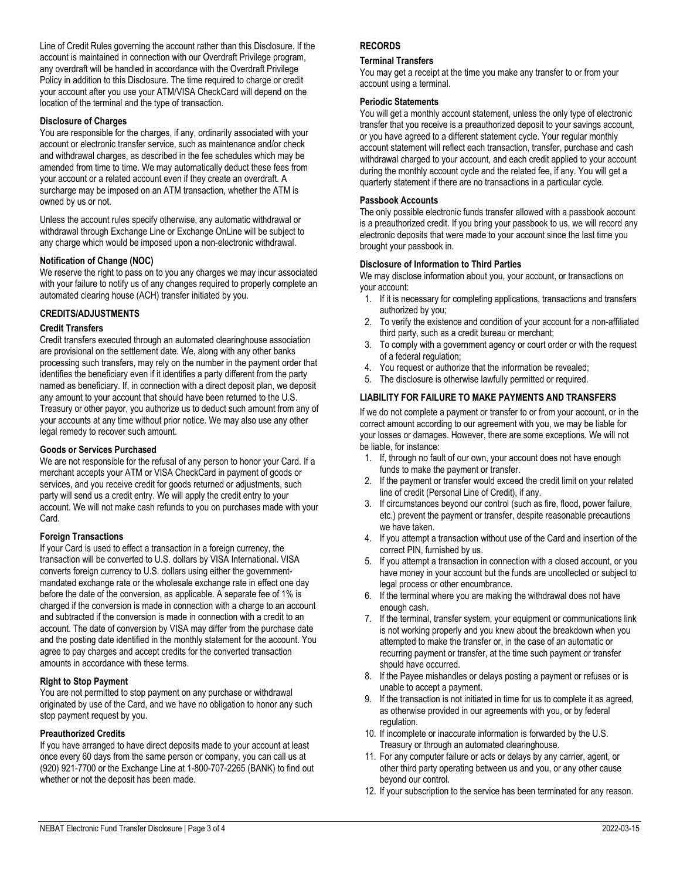#### **Disclosure of Charges**

You are responsible for the charges, if any, ordinarily associated with your account or electronic transfer service, such as maintenance and/or check and withdrawal charges, as described in the fee schedules which may be amended from time to time. We may automatically deduct these fees from your account or a related account even if they create an overdraft. A surcharge may be imposed on an ATM transaction, whether the ATM is owned by us or not.

Unless the account rules specify otherwise, any automatic withdrawal or withdrawal through Exchange Line or Exchange OnLine will be subject to any charge which would be imposed upon a non-electronic withdrawal.

# **Notification of Change (NOC)**

We reserve the right to pass on to you any charges we may incur associated with your failure to notify us of any changes required to properly complete an automated clearing house (ACH) transfer initiated by you.

# **CREDITS/ADJUSTMENTS**

#### **Credit Transfers**

Credit transfers executed through an automated clearinghouse association are provisional on the settlement date. We, along with any other banks processing such transfers, may rely on the number in the payment order that identifies the beneficiary even if it identifies a party different from the party named as beneficiary. If, in connection with a direct deposit plan, we deposit any amount to your account that should have been returned to the U.S. Treasury or other payor, you authorize us to deduct such amount from any of your accounts at any time without prior notice. We may also use any other legal remedy to recover such amount.

#### **Goods or Services Purchased**

We are not responsible for the refusal of any person to honor your Card. If a merchant accepts your ATM or VISA CheckCard in payment of goods or services, and you receive credit for goods returned or adjustments, such party will send us a credit entry. We will apply the credit entry to your account. We will not make cash refunds to you on purchases made with your Card.

#### **Foreign Transactions**

If your Card is used to effect a transaction in a foreign currency, the transaction will be converted to U.S. dollars by VISA International. VISA converts foreign currency to U.S. dollars using either the governmentmandated exchange rate or the wholesale exchange rate in effect one day before the date of the conversion, as applicable. A separate fee of 1% is charged if the conversion is made in connection with a charge to an account and subtracted if the conversion is made in connection with a credit to an account. The date of conversion by VISA may differ from the purchase date and the posting date identified in the monthly statement for the account. You agree to pay charges and accept credits for the converted transaction amounts in accordance with these terms.

#### **Right to Stop Payment**

You are not permitted to stop payment on any purchase or withdrawal originated by use of the Card, and we have no obligation to honor any such stop payment request by you.

# **Preauthorized Credits**

If you have arranged to have direct deposits made to your account at least once every 60 days from the same person or company, you can call us at (920) 921-7700 or the Exchange Line at 1-800-707-2265 (BANK) to find out whether or not the deposit has been made.

# **RECORDS**

#### **Terminal Transfers**

You may get a receipt at the time you make any transfer to or from your account using a terminal.

#### **Periodic Statements**

You will get a monthly account statement, unless the only type of electronic transfer that you receive is a preauthorized deposit to your savings account, or you have agreed to a different statement cycle. Your regular monthly account statement will reflect each transaction, transfer, purchase and cash withdrawal charged to your account, and each credit applied to your account during the monthly account cycle and the related fee, if any. You will get a quarterly statement if there are no transactions in a particular cycle.

# **Passbook Accounts**

The only possible electronic funds transfer allowed with a passbook account is a preauthorized credit. If you bring your passbook to us, we will record any electronic deposits that were made to your account since the last time you brought your passbook in.

# **Disclosure of Information to Third Parties**

We may disclose information about you, your account, or transactions on your account:

- 1. If it is necessary for completing applications, transactions and transfers authorized by you;
- 2. To verify the existence and condition of your account for a non-affiliated third party, such as a credit bureau or merchant;
- 3. To comply with a government agency or court order or with the request of a federal regulation;
- 4. You request or authorize that the information be revealed;
- 5. The disclosure is otherwise lawfully permitted or required.

# **LIABILITY FOR FAILURE TO MAKE PAYMENTS AND TRANSFERS**

If we do not complete a payment or transfer to or from your account, or in the correct amount according to our agreement with you, we may be liable for your losses or damages. However, there are some exceptions. We will not be liable, for instance:

- 1. If, through no fault of our own, your account does not have enough funds to make the payment or transfer.
- 2. If the payment or transfer would exceed the credit limit on your related line of credit (Personal Line of Credit), if any.
- 3. If circumstances beyond our control (such as fire, flood, power failure, etc.) prevent the payment or transfer, despite reasonable precautions we have taken.
- 4. If you attempt a transaction without use of the Card and insertion of the correct PIN, furnished by us.
- 5. If you attempt a transaction in connection with a closed account, or you have money in your account but the funds are uncollected or subject to legal process or other encumbrance.
- 6. If the terminal where you are making the withdrawal does not have enough cash.
- 7. If the terminal, transfer system, your equipment or communications link is not working properly and you knew about the breakdown when you attempted to make the transfer or, in the case of an automatic or recurring payment or transfer, at the time such payment or transfer should have occurred.
- 8. If the Payee mishandles or delays posting a payment or refuses or is unable to accept a payment.
- 9. If the transaction is not initiated in time for us to complete it as agreed, as otherwise provided in our agreements with you, or by federal regulation.
- 10. If incomplete or inaccurate information is forwarded by the U.S. Treasury or through an automated clearinghouse.
- 11. For any computer failure or acts or delays by any carrier, agent, or other third party operating between us and you, or any other cause beyond our control.
- 12. If your subscription to the service has been terminated for any reason.